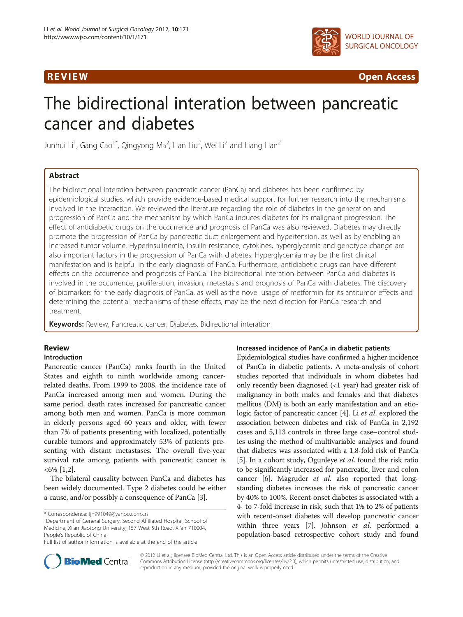

**REVIEW CONSIDERING CONSIDERING CONSIDERING CONSIDERING CONSIDERING CONSIDERING CONSIDERING CONSIDERING CONSIDERING CONSIDERING CONSIDERING CONSIDERING CONSIDERING CONSIDERING CONSIDERING CONSIDERING CONSIDERING CONSIDER** 

# The bidirectional interation between pancreatic cancer and diabetes

Junhui Li $^1$ , Gang Cao $^1^\ast$ , Qingyong Ma $^2$ , Han Liu $^2$ , Wei Li $^2$  and Liang Han $^2$ 

# Abstract

The bidirectional interation between pancreatic cancer (PanCa) and diabetes has been confirmed by epidemiological studies, which provide evidence-based medical support for further research into the mechanisms involved in the interaction. We reviewed the literature regarding the role of diabetes in the generation and progression of PanCa and the mechanism by which PanCa induces diabetes for its malignant progression. The effect of antidiabetic drugs on the occurrence and prognosis of PanCa was also reviewed. Diabetes may directly promote the progression of PanCa by pancreatic duct enlargement and hypertension, as well as by enabling an increased tumor volume. Hyperinsulinemia, insulin resistance, cytokines, hyperglycemia and genotype change are also important factors in the progression of PanCa with diabetes. Hyperglycemia may be the first clinical manifestation and is helpful in the early diagnosis of PanCa. Furthermore, antidiabetic drugs can have different effects on the occurrence and prognosis of PanCa. The bidirectional interation between PanCa and diabetes is involved in the occurrence, proliferation, invasion, metastasis and prognosis of PanCa with diabetes. The discovery of biomarkers for the early diagnosis of PanCa, as well as the novel usage of metformin for its antitumor effects and determining the potential mechanisms of these effects, may be the next direction for PanCa research and treatment.

Keywords: Review, Pancreatic cancer, Diabetes, Bidirectional interation

# Review

# Introduction

Pancreatic cancer (PanCa) ranks fourth in the United States and eighth to ninth worldwide among cancerrelated deaths. From 1999 to 2008, the incidence rate of PanCa increased among men and women. During the same period, death rates increased for pancreatic cancer among both men and women. PanCa is more common in elderly persons aged 60 years and older, with fewer than 7% of patients presenting with localized, potentially curable tumors and approximately 53% of patients presenting with distant metastases. The overall five-year survival rate among patients with pancreatic cancer is  $< 6\%$  [[1,2\]](#page-7-0).

The bilateral causality between PanCa and diabetes has been widely documented. Type 2 diabetes could be either a cause, and/or possibly a consequence of PanCa [[3\]](#page-7-0).

Department of General Surgery, Second Affiliated Hospital, School of Medicine, Xi'an Jiaotong University, 157 West 5th Road, Xi'an 710004, People's Republic of China

# Increased incidence of PanCa in diabetic patients

Epidemiological studies have confirmed a higher incidence of PanCa in diabetic patients. A meta-analysis of cohort studies reported that individuals in whom diabetes had only recently been diagnosed (<1 year) had greater risk of malignancy in both males and females and that diabetes mellitus (DM) is both an early manifestation and an etiologic factor of pancreatic cancer [[4](#page-7-0)]. Li et al. explored the association between diabetes and risk of PanCa in 2,192 cases and 5,113 controls in three large case–control studies using the method of multivariable analyses and found that diabetes was associated with a 1.8-fold risk of PanCa [[5\]](#page-7-0). In a cohort study, Ogunleye *et al*. found the risk ratio to be significantly increased for pancreatic, liver and colon cancer [\[6](#page-7-0)]. Magruder et al. also reported that longstanding diabetes increases the risk of pancreatic cancer by 40% to 100%. Recent-onset diabetes is associated with a 4- to 7-fold increase in risk, such that 1% to 2% of patients with recent-onset diabetes will develop pancreatic cancer within three years [[7\]](#page-7-0). Johnson et al. performed a population-based retrospective cohort study and found



© 2012 Li et al.; licensee BioMed Central Ltd. This is an Open Access article distributed under the terms of the Creative Commons Attribution License [\(http://creativecommons.org/licenses/by/2.0\)](http://creativecommons.org/licenses/by/2.0), which permits unrestricted use, distribution, and reproduction in any medium, provided the original work is properly cited.

<sup>\*</sup> Correspondence: [ljh991049@yahoo.com.cn](mailto:ljh991049@yahoo.com.cn) <sup>1</sup>

Full list of author information is available at the end of the article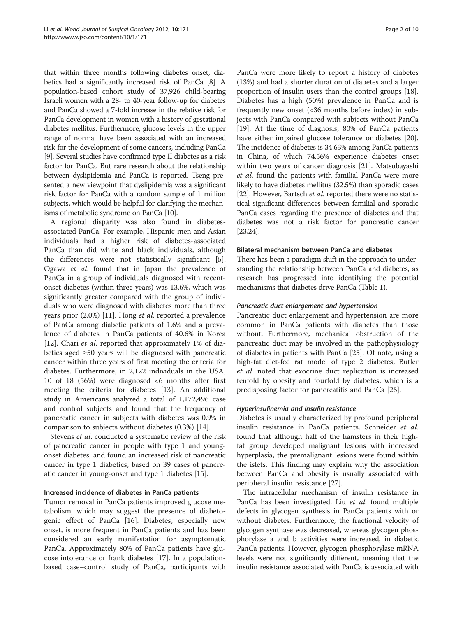that within three months following diabetes onset, diabetics had a significantly increased risk of PanCa [\[8\]](#page-7-0). A population-based cohort study of 37,926 child-bearing Israeli women with a 28- to 40-year follow-up for diabetes and PanCa showed a 7-fold increase in the relative risk for PanCa development in women with a history of gestational diabetes mellitus. Furthermore, glucose levels in the upper range of normal have been associated with an increased risk for the development of some cancers, including PanCa [[9](#page-7-0)]. Several studies have confirmed type II diabetes as a risk factor for PanCa. But rare research about the relationship between dyslipidemia and PanCa is reported. Tseng presented a new viewpoint that dyslipidemia was a significant risk factor for PanCa with a random sample of 1 million subjects, which would be helpful for clarifying the mechanisms of metabolic syndrome on PanCa [\[10\]](#page-7-0).

A regional disparity was also found in diabetesassociated PanCa. For example, Hispanic men and Asian individuals had a higher risk of diabetes-associated PanCa than did white and black individuals, although the differences were not statistically significant [\[5](#page-7-0)]. Ogawa et al. found that in Japan the prevalence of PanCa in a group of individuals diagnosed with recentonset diabetes (within three years) was 13.6%, which was significantly greater compared with the group of individuals who were diagnosed with diabetes more than three years prior (2.0%) [[11\]](#page-7-0). Hong et al. reported a prevalence of PanCa among diabetic patients of 1.6% and a prevalence of diabetes in PanCa patients of 40.6% in Korea [[12\]](#page-7-0). Chari et al. reported that approximately 1% of diabetics aged ≥50 years will be diagnosed with pancreatic cancer within three years of first meeting the criteria for diabetes. Furthermore, in 2,122 individuals in the USA, 10 of 18 (56%) were diagnosed <6 months after first meeting the criteria for diabetes [\[13\]](#page-7-0). An additional study in Americans analyzed a total of 1,172,496 case and control subjects and found that the frequency of pancreatic cancer in subjects with diabetes was 0.9% in comparison to subjects without diabetes (0.3%) [[14\]](#page-7-0).

Stevens et al. conducted a systematic review of the risk of pancreatic cancer in people with type 1 and youngonset diabetes, and found an increased risk of pancreatic cancer in type 1 diabetics, based on 39 cases of pancreatic cancer in young-onset and type 1 diabetes [\[15\]](#page-7-0).

#### Increased incidence of diabetes in PanCa patients

Tumor removal in PanCa patients improved glucose metabolism, which may suggest the presence of diabetogenic effect of PanCa [[16](#page-7-0)]. Diabetes, especially new onset, is more frequent in PanCa patients and has been considered an early manifestation for asymptomatic PanCa. Approximately 80% of PanCa patients have glucose intolerance or frank diabetes [[17\]](#page-7-0). In a populationbased case–control study of PanCa, participants with

PanCa were more likely to report a history of diabetes (13%) and had a shorter duration of diabetes and a larger proportion of insulin users than the control groups [\[18](#page-7-0)]. Diabetes has a high (50%) prevalence in PanCa and is frequently new onset (<36 months before index) in subjects with PanCa compared with subjects without PanCa [[19\]](#page-7-0). At the time of diagnosis, 80% of PanCa patients have either impaired glucose tolerance or diabetes [\[20](#page-7-0)]. The incidence of diabetes is 34.63% among PanCa patients in China, of which 74.56% experience diabetes onset within two years of cancer diagnosis [[21](#page-7-0)]. Matsubayashi et al. found the patients with familial PanCa were more likely to have diabetes mellitus (32.5%) than sporadic cases [[22](#page-7-0)]. However, Bartsch et al. reported there were no statistical significant differences between familial and sporadic PanCa cases regarding the presence of diabetes and that diabetes was not a risk factor for pancreatic cancer [[23,24](#page-7-0)].

#### Bilateral mechanism between PanCa and diabetes

There has been a paradigm shift in the approach to understanding the relationship between PanCa and diabetes, as research has progressed into identifying the potential mechanisms that diabetes drive PanCa (Table [1](#page-2-0)).

## Pancreatic duct enlargement and hypertension

Pancreatic duct enlargement and hypertension are more common in PanCa patients with diabetes than those without. Furthermore, mechanical obstruction of the pancreatic duct may be involved in the pathophysiology of diabetes in patients with PanCa [\[25](#page-7-0)]. Of note, using a high-fat diet-fed rat model of type 2 diabetes, Butler et al. noted that exocrine duct replication is increased tenfold by obesity and fourfold by diabetes, which is a predisposing factor for pancreatitis and PanCa [\[26\]](#page-7-0).

#### Hyperinsulinemia and insulin resistance

Diabetes is usually characterized by profound peripheral insulin resistance in PanCa patients. Schneider et al. found that although half of the hamsters in their highfat group developed malignant lesions with increased hyperplasia, the premalignant lesions were found within the islets. This finding may explain why the association between PanCa and obesity is usually associated with peripheral insulin resistance [[27\]](#page-7-0).

The intracellular mechanism of insulin resistance in PanCa has been investigated. Liu et al. found multiple defects in glycogen synthesis in PanCa patients with or without diabetes. Furthermore, the fractional velocity of glycogen synthase was decreased, whereas glycogen phosphorylase a and b activities were increased, in diabetic PanCa patients. However, glycogen phosphorylase mRNA levels were not significantly different, meaning that the insulin resistance associated with PanCa is associated with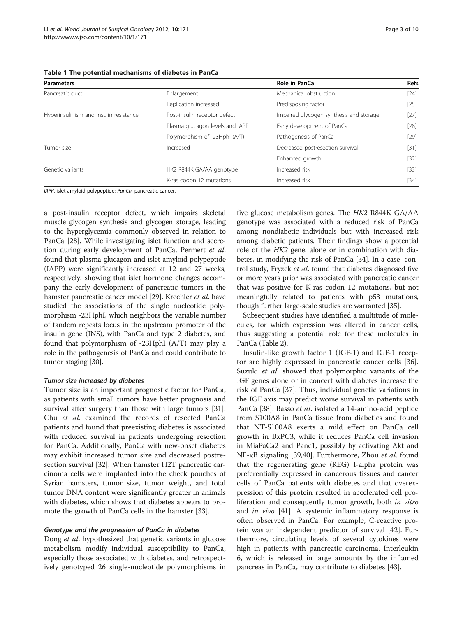<span id="page-2-0"></span>

|  |  |  |  | Table 1 The potential mechanisms of diabetes in PanCa |  |  |  |  |
|--|--|--|--|-------------------------------------------------------|--|--|--|--|
|--|--|--|--|-------------------------------------------------------|--|--|--|--|

Parameters Role in PanCa Refs Pancreatic duct and the Enlargement Call and the Mechanical obstruction and T24] Replication increased **Predisposing factor Predisposing factor Predisposing factor Predisposing factor Predisposing factor Predisposing factor Predisposing factor Predisposing factor Predisposing factor P** Hyperinsulinism and insulin resistance Post-insulin receptor defect Impaired glycogen synthesis and storage [\[27\]](#page-7-0) Plasma glucagon levels and IAPP Early development of PanCa FanCa Polymorphism of -23HphI (A/T) Pathogenesis of PanCa [\[29\]](#page-7-0) Tumor size Tumor size Increased **Decreased Decreased postresection survival** [\[31\]](#page-7-0) Enhanced growth [\[32\]](#page-7-0) Genetic variants **EXALL SECONDER SECONDER SECONDER 1999** HK2 R844K GA/AA genotype **Increased risk** [\[33\]](#page-7-0) K-ras codon 12 mutations **Increased risk** Increased risk **I**S4]

IAPP, islet amyloid polypeptide; PanCa, pancreatic cancer.

a post-insulin receptor defect, which impairs skeletal muscle glycogen synthesis and glycogen storage, leading to the hyperglycemia commonly observed in relation to PanCa [[28](#page-7-0)]. While investigating islet function and secretion during early development of PanCa, Permert et al. found that plasma glucagon and islet amyloid polypeptide (IAPP) were significantly increased at 12 and 27 weeks, respectively, showing that islet hormone changes accompany the early development of pancreatic tumors in the hamster pancreatic cancer model [\[29\]](#page-7-0). Krechler et al. have studied the associations of the single nucleotide polymorphism -23HphI, which neighbors the variable number of tandem repeats locus in the upstream promoter of the insulin gene (INS), with PanCa and type 2 diabetes, and found that polymorphism of -23HphI (A/T) may play a role in the pathogenesis of PanCa and could contribute to tumor staging [\[30\]](#page-7-0).

#### Tumor size increased by diabetes

Tumor size is an important prognostic factor for PanCa, as patients with small tumors have better prognosis and survival after surgery than those with large tumors [\[31](#page-7-0)]. Chu et al. examined the records of resected PanCa patients and found that preexisting diabetes is associated with reduced survival in patients undergoing resection for PanCa. Additionally, PanCa with new-onset diabetes may exhibit increased tumor size and decreased postresection survival [\[32\]](#page-7-0). When hamster H2T pancreatic carcinoma cells were implanted into the cheek pouches of Syrian hamsters, tumor size, tumor weight, and total tumor DNA content were significantly greater in animals with diabetes, which shows that diabetes appears to promote the growth of PanCa cells in the hamster [[33\]](#page-7-0).

# Genotype and the progression of PanCa in diabetes

Dong et al. hypothesized that genetic variants in glucose metabolism modify individual susceptibility to PanCa, especially those associated with diabetes, and retrospectively genotyped 26 single-nucleotide polymorphisms in

five glucose metabolism genes. The HK2 R844K GA/AA genotype was associated with a reduced risk of PanCa among nondiabetic individuals but with increased risk among diabetic patients. Their findings show a potential role of the HK2 gene, alone or in combination with diabetes, in modifying the risk of PanCa [\[34\]](#page-7-0). In a case–control study, Fryzek *et al*. found that diabetes diagnosed five or more years prior was associated with pancreatic cancer that was positive for K-ras codon 12 mutations, but not meaningfully related to patients with p53 mutations, though further large-scale studies are warranted [[35](#page-7-0)].

Subsequent studies have identified a multitude of molecules, for which expression was altered in cancer cells, thus suggesting a potential role for these molecules in PanCa (Table [2](#page-3-0)).

Insulin-like growth factor 1 (IGF-1) and IGF-1 receptor are highly expressed in pancreatic cancer cells [\[36](#page-7-0)]. Suzuki et al. showed that polymorphic variants of the IGF genes alone or in concert with diabetes increase the risk of PanCa [[37\]](#page-7-0). Thus, individual genetic variations in the IGF axis may predict worse survival in patients with PanCa [\[38](#page-8-0)]. Basso *et al.* isolated a 14-amino-acid peptide from S100A8 in PanCa tissue from diabetics and found that NT-S100A8 exerts a mild effect on PanCa cell growth in BxPC3, while it reduces PanCa cell invasion in MiaPaCa2 and Panc1, possibly by activating Akt and NF-κB signaling [\[39,40](#page-8-0)]. Furthermore, Zhou et al. found that the regenerating gene (REG) I-alpha protein was preferentially expressed in cancerous tissues and cancer cells of PanCa patients with diabetes and that overexpression of this protein resulted in accelerated cell proliferation and consequently tumor growth, both in vitro and in vivo [\[41](#page-8-0)]. A systemic inflammatory response is often observed in PanCa. For example, C-reactive protein was an independent predictor of survival [\[42](#page-8-0)]. Furthermore, circulating levels of several cytokines were high in patients with pancreatic carcinoma. Interleukin 6, which is released in large amounts by the inflamed pancreas in PanCa, may contribute to diabetes [[43](#page-8-0)].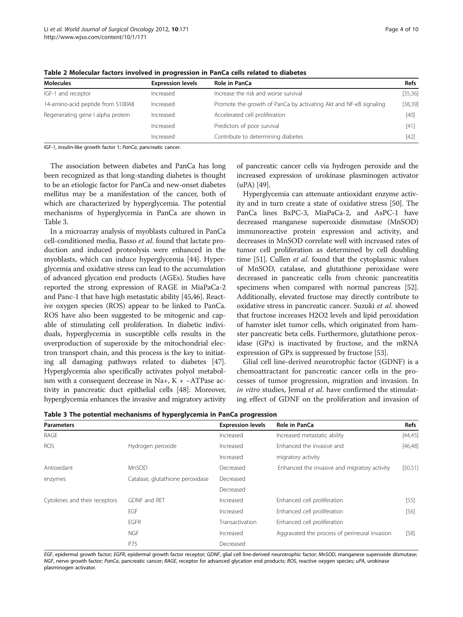| <b>Molecules</b>                  | <b>Expression levels</b> | Role in PanCa                                                     | <b>Refs</b> |
|-----------------------------------|--------------------------|-------------------------------------------------------------------|-------------|
| IGF-1 and receptor                | Increased                | Increase the risk and worse survival                              | [35, 36]    |
| 14-amino-acid peptide from S100A8 | Increased                | Promote the growth of PanCa by activating Akt and NF-KB signaling | [38, 39]    |
| Regenerating gene I alpha protein | Increased                | Accelerated cell proliferation                                    | [40]        |
|                                   | Increased                | Predictors of poor survival                                       | $[41]$      |
|                                   | Increased                | Contribute to determining diabetes                                | $[42]$      |
|                                   |                          |                                                                   |             |

<span id="page-3-0"></span>Table 2 Molecular factors involved in progression in PanCa cells related to diabetes

IGF-1, insulin-like growth factor 1; PanCa, pancreatic cancer.

The association between diabetes and PanCa has long been recognized as that long-standing diabetes is thought to be an etiologic factor for PanCa and new-onset diabetes mellitus may be a manifestation of the cancer, both of which are characterized by hyperglycemia. The potential mechanisms of hyperglycemia in PanCa are shown in Table 3.

In a microarray analysis of myoblasts cultured in PanCa cell-conditioned media, Basso et al. found that lactate production and induced proteolysis were enhanced in the myoblasts, which can induce hyperglycemia [[44](#page-8-0)]. Hyperglycemia and oxidative stress can lead to the accumulation of advanced glycation end products (AGEs). Studies have reported the strong expression of RAGE in MiaPaCa-2 and Panc-1 that have high metastatic ability [\[45,46\]](#page-8-0). Reactive oxygen species (ROS) appear to be linked to PanCa. ROS have also been suggested to be mitogenic and capable of stimulating cell proliferation. In diabetic individuals, hyperglycemia in susceptible cells results in the overproduction of superoxide by the mitochondrial electron transport chain, and this process is the key to initiating all damaging pathways related to diabetes [[47](#page-8-0)]. Hyperglycemia also specifically activates polyol metabolism with a consequent decrease in Na+, K + −ATPase activity in pancreatic duct epithelial cells [\[48](#page-8-0)]. Moreover, hyperglycemia enhances the invasive and migratory activity

of pancreatic cancer cells via hydrogen peroxide and the increased expression of urokinase plasminogen activator (uPA) [\[49\]](#page-8-0).

Hyperglycemia can attenuate antioxidant enzyme activity and in turn create a state of oxidative stress [\[50](#page-8-0)]. The PanCa lines BxPC-3, MiaPaCa-2, and AsPC-1 have decreased manganese superoxide dismutase (MnSOD) immunoreactive protein expression and activity, and decreases in MnSOD correlate well with increased rates of tumor cell proliferation as determined by cell doubling time [\[51\]](#page-8-0). Cullen *et al.* found that the cytoplasmic values of MnSOD, catalase, and glutathione peroxidase were decreased in pancreatic cells from chronic pancreatitis specimens when compared with normal pancreas [[52](#page-8-0)]. Additionally, elevated fructose may directly contribute to oxidative stress in pancreatic cancer. Suzuki et al. showed that fructose increases H2O2 levels and lipid peroxidation of hamster islet tumor cells, which originated from hamster pancreatic beta cells. Furthermore, glutathione peroxidase (GPx) is inactivated by fructose, and the mRNA expression of GPx is suppressed by fructose [[53](#page-8-0)].

Glial cell line-derived neurotrophic factor (GDNF) is a chemoattractant for pancreatic cancer cells in the processes of tumor progression, migration and invasion. In in vitro studies, Jemal et al. have confirmed the stimulating effect of GDNF on the proliferation and invasion of

Table 3 The potential mechanisms of hyperglycemia in PanCa progression

| <b>Parameters</b>             |                                  | <b>Expression levels</b> | Role in PanCa                                 | Refs     |
|-------------------------------|----------------------------------|--------------------------|-----------------------------------------------|----------|
| RAGE                          |                                  | Increased                | Increased metastatic ability                  | [44, 45] |
| <b>ROS</b>                    | Hydrogen peroxide                | Increased                | Enhanced the invasive and                     | [46, 48] |
|                               |                                  | Increased                | migratory activity                            |          |
| Antioxidant                   | MnSOD                            | Decreased                | Enhanced the invasive and migratory activity  | [50, 51] |
| enzymes                       | Catalase, glutathione peroxidase | Decreased                |                                               |          |
|                               |                                  | Decreased                |                                               |          |
| Cytokines and their receptors | <b>GDNF</b> and RET              | Increased                | Enhanced cell proliferation                   | $[55]$   |
|                               | EGF                              | Increased                | Enhanced cell proliferation                   | $[56]$   |
|                               | <b>EGFR</b>                      | Transactivation          | Enhanced cell proliferation                   |          |
|                               | <b>NGF</b>                       | Increased                | Aggravated the process of perineural invasion | $[58]$   |
|                               | P75                              | Decreased                |                                               |          |
|                               |                                  |                          |                                               |          |

EGF, epidermal growth factor; EGFR, epidermal growth factor receptor; GDNF, glial cell line-derived neurotrophic factor; MnSOD, manganese superoxide dismutase; NGF, nerve growth factor; PanCa, pancreatic cancer; RAGE, receptor for advanced glycation end products; ROS, reactive oxygen species; uPA, urokinase plasminogen activator.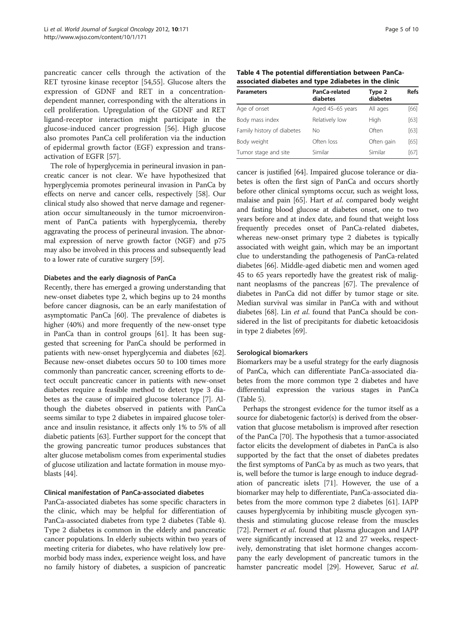pancreatic cancer cells through the activation of the RET tyrosine kinase receptor [[54,55\]](#page-8-0). Glucose alters the expression of GDNF and RET in a concentrationdependent manner, corresponding with the alterations in cell proliferation. Upregulation of the GDNF and RET ligand-receptor interaction might participate in the glucose-induced cancer progression [\[56\]](#page-8-0). High glucose also promotes PanCa cell proliferation via the induction of epidermal growth factor (EGF) expression and transactivation of EGFR [\[57](#page-8-0)].

The role of hyperglycemia in perineural invasion in pancreatic cancer is not clear. We have hypothesized that hyperglycemia promotes perineural invasion in PanCa by effects on nerve and cancer cells, respectively [\[58\]](#page-8-0). Our clinical study also showed that nerve damage and regeneration occur simultaneously in the tumor microenvironment of PanCa patients with hyperglycemia, thereby aggravating the process of perineural invasion. The abnormal expression of nerve growth factor (NGF) and p75 may also be involved in this process and subsequently lead to a lower rate of curative surgery [[59](#page-8-0)].

## Diabetes and the early diagnosis of PanCa

Recently, there has emerged a growing understanding that new-onset diabetes type 2, which begins up to 24 months before cancer diagnosis, can be an early manifestation of asymptomatic PanCa [\[60\]](#page-8-0). The prevalence of diabetes is higher (40%) and more frequently of the new-onset type in PanCa than in control groups [\[61\]](#page-8-0). It has been suggested that screening for PanCa should be performed in patients with new-onset hyperglycemia and diabetes [[62](#page-8-0)]. Because new-onset diabetes occurs 50 to 100 times more commonly than pancreatic cancer, screening efforts to detect occult pancreatic cancer in patients with new-onset diabetes require a feasible method to detect type 3 diabetes as the cause of impaired glucose tolerance [[7\]](#page-7-0). Although the diabetes observed in patients with PanCa seems similar to type 2 diabetes in impaired glucose tolerance and insulin resistance, it affects only 1% to 5% of all diabetic patients [[63](#page-8-0)]. Further support for the concept that the growing pancreatic tumor produces substances that alter glucose metabolism comes from experimental studies of glucose utilization and lactate formation in mouse myoblasts [[44](#page-8-0)].

#### Clinical manifestation of PanCa-associated diabetes

PanCa-associated diabetes has some specific characters in the clinic, which may be helpful for differentiation of PanCa-associated diabetes from type 2 diabetes (Table 4). Type 2 diabetes is common in the elderly and pancreatic cancer populations. In elderly subjects within two years of meeting criteria for diabetes, who have relatively low premorbid body mass index, experience weight loss, and have no family history of diabetes, a suspicion of pancreatic

| Page 5 of 10 |  |  |  |
|--------------|--|--|--|
|--------------|--|--|--|

| Table 4 The potential differentiation between PanCa- |  |
|------------------------------------------------------|--|
| associated diabetes and type 2diabetes in the clinic |  |

| <b>Parameters</b>          | PanCa-related<br>diabetes | Type 2<br>diabetes | <b>Refs</b> |
|----------------------------|---------------------------|--------------------|-------------|
| Age of onset               | Aged 45-65 years          | All ages           | [66]        |
| Body mass index            | Relatively low            | High               | [63]        |
| Family history of diabetes | Nο                        | Often              | [63]        |
| Body weight                | Often loss                | Often gain         | [65]        |
| Tumor stage and site       | Similar                   | Similar            | [67]        |

cancer is justified [\[64\]](#page-8-0). Impaired glucose tolerance or diabetes is often the first sign of PanCa and occurs shortly before other clinical symptoms occur, such as weight loss, malaise and pain [\[65](#page-8-0)]. Hart et al. compared body weight and fasting blood glucose at diabetes onset, one to two years before and at index date, and found that weight loss frequently precedes onset of PanCa-related diabetes, whereas new-onset primary type 2 diabetes is typically associated with weight gain, which may be an important clue to understanding the pathogenesis of PanCa-related diabetes [\[66\]](#page-8-0). Middle-aged diabetic men and women aged 45 to 65 years reportedly have the greatest risk of malignant neoplasms of the pancreas [[67](#page-8-0)]. The prevalence of diabetes in PanCa did not differ by tumor stage or site. Median survival was similar in PanCa with and without diabetes [\[68](#page-8-0)]. Lin *et al.* found that PanCa should be considered in the list of precipitants for diabetic ketoacidosis in type 2 diabetes [\[69\]](#page-8-0).

# Serological biomarkers

Biomarkers may be a useful strategy for the early diagnosis of PanCa, which can differentiate PanCa-associated diabetes from the more common type 2 diabetes and have differential expression the various stages in PanCa (Table [5\)](#page-5-0).

Perhaps the strongest evidence for the tumor itself as a source for diabetogenic factor(s) is derived from the observation that glucose metabolism is improved after resection of the PanCa [[70](#page-8-0)]. The hypothesis that a tumor-associated factor elicits the development of diabetes in PanCa is also supported by the fact that the onset of diabetes predates the first symptoms of PanCa by as much as two years, that is, well before the tumor is large enough to induce degradation of pancreatic islets [[71](#page-8-0)]. However, the use of a biomarker may help to differentiate, PanCa-associated diabetes from the more common type 2 diabetes [\[61\]](#page-8-0). IAPP causes hyperglycemia by inhibiting muscle glycogen synthesis and stimulating glucose release from the muscles [[72](#page-8-0)]. Permert *et al*. found that plasma glucagon and IAPP were significantly increased at 12 and 27 weeks, respectively, demonstrating that islet hormone changes accompany the early development of pancreatic tumors in the hamster pancreatic model [[29](#page-7-0)]. However, Saruc et al.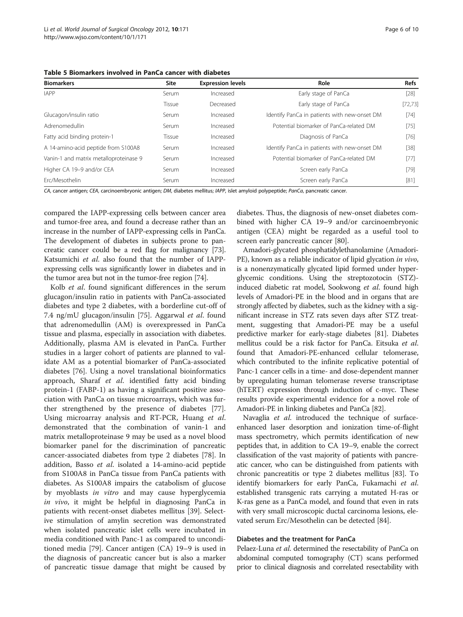| <b>Biomarkers</b>                      | Site   | <b>Expression levels</b> | Role                                         | <b>Refs</b> |
|----------------------------------------|--------|--------------------------|----------------------------------------------|-------------|
| <b>IAPP</b>                            | Serum  | Increased                | Early stage of PanCa                         | $[28]$      |
|                                        | Tissue | Decreased                | Early stage of PanCa                         | [72, 73]    |
| Glucagon/insulin ratio                 | Serum  | Increased                | Identify PanCa in patients with new-onset DM | $[74]$      |
| Adrenomedullin                         | Serum  | Increased                | Potential biomarker of PanCa-related DM      | $[75]$      |
| Fatty acid binding protein-1           | Tissue | Increased                | Diagnosis of PanCa                           | $[76]$      |
| A 14-amino-acid peptide from S100A8    | Serum  | Increased                | Identify PanCa in patients with new-onset DM | $[38]$      |
| Vanin-1 and matrix metalloproteinase 9 | Serum  | Increased                | Potential biomarker of PanCa-related DM      | $[77]$      |
| Higher CA 19-9 and/or CEA              | Serum  | Increased                | Screen early PanCa                           | $[79]$      |
| Frc/Mesothelin                         | Serum  | Increased                | Screen early PanCa                           | [81]        |

<span id="page-5-0"></span>Table 5 Biomarkers involved in PanCa cancer with diabetes

CA, cancer antigen; CEA, carcinoembryonic antigen; DM, diabetes mellitus; IAPP, islet amyloid polypeptide; PanCa, pancreatic cancer.

compared the IAPP-expressing cells between cancer area and tumor-free area, and found a decrease rather than an increase in the number of IAPP-expressing cells in PanCa. The development of diabetes in subjects prone to pancreatic cancer could be a red flag for malignancy [[73](#page-8-0)]. Katsumichi et al. also found that the number of IAPPexpressing cells was significantly lower in diabetes and in the tumor area but not in the tumor-free region [\[74\]](#page-8-0).

Kolb et al. found significant differences in the serum glucagon/insulin ratio in patients with PanCa-associated diabetes and type 2 diabetes, with a borderline cut-off of 7.4 ng/mU glucagon/insulin [\[75](#page-8-0)]. Aggarwal et al. found that adrenomedullin (AM) is overexpressed in PanCa tissue and plasma, especially in association with diabetes. Additionally, plasma AM is elevated in PanCa. Further studies in a larger cohort of patients are planned to validate AM as a potential biomarker of PanCa-associated diabetes [[76\]](#page-8-0). Using a novel translational bioinformatics approach, Sharaf et al. identified fatty acid binding protein-1 (FABP-1) as having a significant positive association with PanCa on tissue microarrays, which was further strengthened by the presence of diabetes [\[77](#page-8-0)]. Using microarray analysis and RT-PCR, Huang et al. demonstrated that the combination of vanin-1 and matrix metalloproteinase 9 may be used as a novel blood biomarker panel for the discrimination of pancreatic cancer-associated diabetes from type 2 diabetes [[78\]](#page-8-0). In addition, Basso et al. isolated a 14-amino-acid peptide from S100A8 in PanCa tissue from PanCa patients with diabetes. As S100A8 impairs the catabolism of glucose by myoblasts *in vitro* and may cause hyperglycemia in vivo, it might be helpful in diagnosing PanCa in patients with recent-onset diabetes mellitus [\[39](#page-8-0)]. Selective stimulation of amylin secretion was demonstrated when isolated pancreatic islet cells were incubated in media conditioned with Panc-1 as compared to unconditioned media [[79](#page-8-0)]. Cancer antigen (CA) 19–9 is used in the diagnosis of pancreatic cancer but is also a marker of pancreatic tissue damage that might be caused by diabetes. Thus, the diagnosis of new-onset diabetes combined with higher CA 19–9 and/or carcinoembryonic antigen (CEA) might be regarded as a useful tool to screen early pancreatic cancer [[80\]](#page-8-0).

Amadori-glycated phosphatidylethanolamine (Amadori-PE), known as a reliable indicator of lipid glycation in vivo, is a nonenzymatically glycated lipid formed under hyperglycemic conditions. Using the streptozotocin (STZ) induced diabetic rat model, Sookwong et al. found high levels of Amadori-PE in the blood and in organs that are strongly affected by diabetes, such as the kidney with a significant increase in STZ rats seven days after STZ treatment, suggesting that Amadori-PE may be a useful predictive marker for early-stage diabetes [[81](#page-9-0)]. Diabetes mellitus could be a risk factor for PanCa. Eitsuka et al. found that Amadori-PE-enhanced cellular telomerase, which contributed to the infinite replicative potential of Panc-1 cancer cells in a time- and dose-dependent manner by upregulating human telomerase reverse transcriptase (hTERT) expression through induction of c-myc. These results provide experimental evidence for a novel role of Amadori-PE in linking diabetes and PanCa [\[82](#page-9-0)].

Navaglia et al. introduced the technique of surfaceenhanced laser desorption and ionization time-of-flight mass spectrometry, which permits identification of new peptides that, in addition to CA 19–9, enable the correct classification of the vast majority of patients with pancreatic cancer, who can be distinguished from patients with chronic pancreatitis or type 2 diabetes mellitus [\[83\]](#page-9-0). To identify biomarkers for early PanCa, Fukamachi et al. established transgenic rats carrying a mutated H-ras or K-ras gene as a PanCa model, and found that even in rats with very small microscopic ductal carcinoma lesions, elevated serum Erc/Mesothelin can be detected [\[84\]](#page-9-0).

## Diabetes and the treatment for PanCa

Pelaez-Luna *et al.* determined the resectability of PanCa on abdominal computed tomography (CT) scans performed prior to clinical diagnosis and correlated resectability with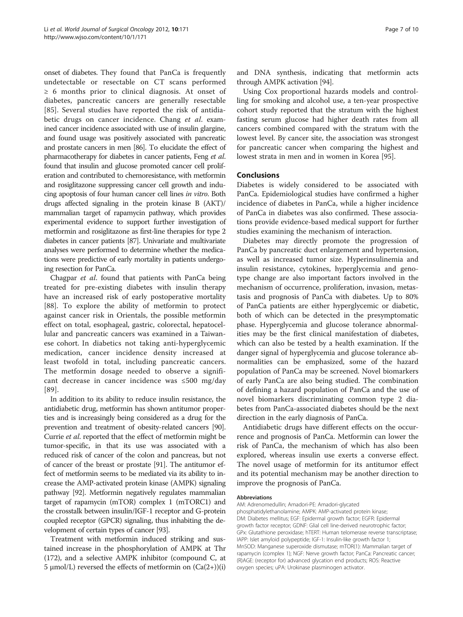onset of diabetes. They found that PanCa is frequently undetectable or resectable on CT scans performed ≥ 6 months prior to clinical diagnosis. At onset of diabetes, pancreatic cancers are generally resectable [[85\]](#page-9-0). Several studies have reported the risk of antidiabetic drugs on cancer incidence. Chang et al. examined cancer incidence associated with use of insulin glargine, and found usage was positively associated with pancreatic and prostate cancers in men [\[86\]](#page-9-0). To elucidate the effect of pharmacotherapy for diabetes in cancer patients, Feng et al. found that insulin and glucose promoted cancer cell proliferation and contributed to chemoresistance, with metformin and rosiglitazone suppressing cancer cell growth and inducing apoptosis of four human cancer cell lines in vitro. Both drugs affected signaling in the protein kinase B (AKT)/ mammalian target of rapamycin pathway, which provides experimental evidence to support further investigation of metformin and rosiglitazone as first-line therapies for type 2 diabetes in cancer patients [[87\]](#page-9-0). Univariate and multivariate analyses were performed to determine whether the medications were predictive of early mortality in patients undergoing resection for PanCa.

Chagpar et al. found that patients with PanCa being treated for pre-existing diabetes with insulin therapy have an increased risk of early postoperative mortality [[88\]](#page-9-0). To explore the ability of metformin to protect against cancer risk in Orientals, the possible metformin effect on total, esophageal, gastric, colorectal, hepatocellular and pancreatic cancers was examined in a Taiwanese cohort. In diabetics not taking anti-hyperglycemic medication, cancer incidence density increased at least twofold in total, including pancreatic cancers. The metformin dosage needed to observe a significant decrease in cancer incidence was ≤500 mg/day [[89](#page-9-0)].

In addition to its ability to reduce insulin resistance, the antidiabetic drug, metformin has shown antitumor properties and is increasingly being considered as a drug for the prevention and treatment of obesity-related cancers [\[90](#page-9-0)]. Currie et al. reported that the effect of metformin might be tumor-specific, in that its use was associated with a reduced risk of cancer of the colon and pancreas, but not of cancer of the breast or prostate [[91](#page-9-0)]. The antitumor effect of metformin seems to be mediated via its ability to increase the AMP-activated protein kinase (AMPK) signaling pathway [\[92\]](#page-9-0). Metformin negatively regulates mammalian target of rapamycin (mTOR) complex 1 (mTORC1) and the crosstalk between insulin/IGF-1 receptor and G-protein coupled receptor (GPCR) signaling, thus inhabiting the development of certain types of cancer [\[93\]](#page-9-0).

Treatment with metformin induced striking and sustained increase in the phosphorylation of AMPK at Thr (172), and a selective AMPK inhibitor (compound C, at 5 μmol/L) reversed the effects of metformin on  $(Ca(2+))(i)$  and DNA synthesis, indicating that metformin acts through AMPK activation [\[94](#page-9-0)].

Using Cox proportional hazards models and controlling for smoking and alcohol use, a ten-year prospective cohort study reported that the stratum with the highest fasting serum glucose had higher death rates from all cancers combined compared with the stratum with the lowest level. By cancer site, the association was strongest for pancreatic cancer when comparing the highest and lowest strata in men and in women in Korea [[95\]](#page-9-0).

## Conclusions

Diabetes is widely considered to be associated with PanCa. Epidemiological studies have confirmed a higher incidence of diabetes in PanCa, while a higher incidence of PanCa in diabetes was also confirmed. These associations provide evidence-based medical support for further studies examining the mechanism of interaction.

Diabetes may directly promote the progression of PanCa by pancreatic duct enlargement and hypertension, as well as increased tumor size. Hyperinsulinemia and insulin resistance, cytokines, hyperglycemia and genotype change are also important factors involved in the mechanism of occurrence, proliferation, invasion, metastasis and prognosis of PanCa with diabetes. Up to 80% of PanCa patients are either hyperglycemic or diabetic, both of which can be detected in the presymptomatic phase. Hyperglycemia and glucose tolerance abnormalities may be the first clinical manifestation of diabetes, which can also be tested by a health examination. If the danger signal of hyperglycemia and glucose tolerance abnormalities can be emphasized, some of the hazard population of PanCa may be screened. Novel biomarkers of early PanCa are also being studied. The combination of defining a hazard population of PanCa and the use of novel biomarkers discriminating common type 2 diabetes from PanCa-associated diabetes should be the next direction in the early diagnosis of PanCa.

Antidiabetic drugs have different effects on the occurrence and prognosis of PanCa. Metformin can lower the risk of PanCa, the mechanism of which has also been explored, whereas insulin use exerts a converse effect. The novel usage of metformin for its antitumor effect and its potential mechanism may be another direction to improve the prognosis of PanCa.

#### Abbreviations

AM: Adrenomedullin; Amadori-PE: Amadori-glycated

phosphatidylethanolamine; AMPK: AMP-activated protein kinase; DM: Diabetes mellitus; EGF: Epidermal growth factor; EGFR: Epidermal growth factor receptor; GDNF: Glial cell line-derived neurotrophic factor; GPx: Glutathione peroxidase; hTERT: Human telomerase reverse transcriptase; IAPP: Islet amyloid polypeptide; IGF-1: Insulin-like growth factor 1; MnSOD: Manganese superoxide dismutase; mTOR(1): Mammalian target of rapamycin (complex 1); NGF: Nerve growth factor; PanCa: Pancreatic cancer; (R)AGE: (receptor for) advanced glycation end products; ROS: Reactive oxygen species; uPA: Urokinase plasminogen activator.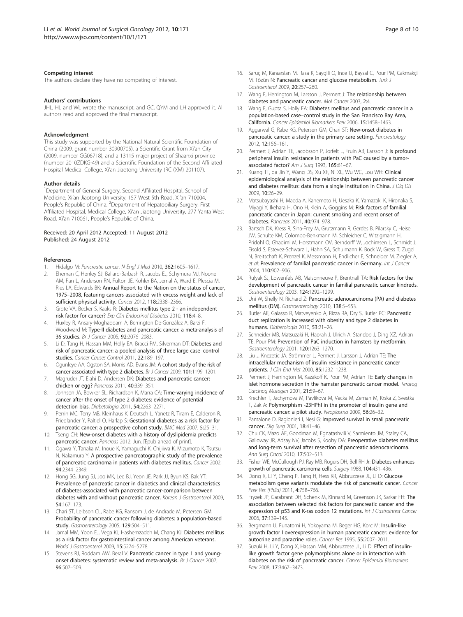#### <span id="page-7-0"></span>Competing interest

The authors declare they have no competing of interest.

#### Authors' contributions

JHL, HL and WL wrote the manuscript, and GC, QYM and LH approved it. All authors read and approved the final manuscript.

#### Acknowledgment

This study was supported by the National Natural Scientific Foundation of China (2009, grant number 30900705), a Scientific Grant from Xi'an City (2009, number GG06718), and a 13115 major project of Shaanxi province (number 2010ZDKG-49) and a Scientific Foundation of the Second Affiliated Hospital Medical College, Xi'an Jiaotong University (RC (XM) 201107).

#### Author details

<sup>1</sup>Department of General Surgery, Second Affiliated Hospital, School of Medicine, Xi'an Jiaotong University, 157 West 5th Road, Xi'an 710004, People's Republic of China. <sup>2</sup>Department of Hepatobiliary Surgery, First Affiliated Hospital, Medical College, Xi'an Jiaotong University, 277 Yanta West Road, Xi'an 710061, People's Republic of China.

#### Received: 20 April 2012 Accepted: 11 August 2012 Published: 24 August 2012

#### References

- Hidalgo M: Pancreatic cancer. N Engl J Med 2010, 362:1605-1617.
- 2. Eheman C, Henley SJ, Ballard-Barbash R, Jacobs EJ, Schymura MJ, Noone AM, Pan L, Anderson RN, Fulton JE, Kohler BA, Jemal A, Ward E, Plescia M, Ries LA, Edwards BK: Annual Report to the Nation on the status of cancer, 1975–2008, featuring cancers associated with excess weight and lack of sufficient physical activity. Cancer 2012, 118:2338–2366.
- Grote VA, Becker S, Kaaks R: Diabetes mellitus type 2 an independent risk factor for cancer? Exp Clin Endocrinol Diabetes 2010, 118:4–8.
- 4. Huxley R, Ansary-Moghaddam A, Berrington De-González A, Barzi F, Woodward M: Type-II diabetes and pancreatic cancer: a meta-analysis of 36 studies. Br J Cancer 2005, 92:2076–2083.
- Li D, Tang H, Hassan MM, Holly EA, Bracci PM, Silverman DT: Diabetes and risk of pancreatic cancer: a pooled analysis of three large case–control studies. Cancer Causes Control 2011, 22:189–197.
- 6. Ogunleye AA, Ogston SA, Morris AD, Evans JM: A cohort study of the risk of cancer associated with type 2 diabetes. Br J Cancer 2009, 101:1199–1201.
- 7. Magruder JT, Elahi D, Andersen DK: Diabetes and pancreatic cancer: chicken or egg? Pancreas 2011, 40:339-351.
- 8. Johnson JA, Bowker SL, Richardson K, Marra CA: Time-varying incidence of cancer after the onset of type 2 diabetes: evidence of potential detection bias. Diabetologia 2011, 54:2263–2271.
- 9. Perrin MC, Terry MB, Kleinhaus K, Deutsch L, Yanetz R, Tiram E, Calderon R, Friedlander Y, Paltiel O, Harlap S: Gestational diabetes as a risk factor for pancreatic cancer: a prospective cohort study. BMC Med 2007, 5:25–31.
- 10. Tseng CH: New-onset diabetes with a history of dyslipidemia predicts pancreatic cancer. Pancreas 2012, Jun. [Epub ahead of print].
- 11. Ogawa Y, Tanaka M, Inoue K, Yamaguchi K, Chijiiwa K, Mizumoto K, Tsutsu N, Nakamura Y: A prospective pancreatographic study of the prevalence of pancreatic carcinoma in patients with diabetes mellitus. Cancer 2002, 94:2344–2349.
- 12. Hong SG, Jung SJ, Joo MK, Lee BJ, Yeon JE, Park JJ, Byun KS, Bak YT: Prevalence of pancreatic cancer in diabetics and clinical characteristics of diabetes-associated with pancreatic cancer-comparison between diabetes with and without pancreatic cancer. Korean J Gastroenterol 2009, 54:167–173.
- 13. Chari ST, Leibson CL, Rabe KG, Ransom J, de Andrade M, Petersen GM: Probability of pancreatic cancer following diabetes: a population-based study. Gastroenterology 2005, 129:504–511.
- 14. Jamal MM, Yoon EJ, Vega KJ, Hashemzadeh M, Chang KJ: Diabetes mellitus as a risk factor for gastrointestinal cancer among American veterans. World J Gastroenterol 2009, 15:5274–5278.
- 15. Stevens RJ, Roddam AW, Beral V: Pancreatic cancer in type 1 and youngonset diabetes: systematic review and meta-analysis. Br J Cancer 2007, 96:507–509.
- 16. Saruç M, Karaarslan M, Rasa K, Saygili O, Ince U, Baysal C, Pour PM, Cakmakçi M, Tözün N: Pancreatic cancer and glucose metabolism. Turk J Gastroenterol 2009, 20:257–260.
- 17. Wang F, Herrington M, Larsson J, Permert J: The relationship between diabetes and pancreatic cancer. Mol Cancer 2003, 2:4.
- 18. Wang F, Gupta S, Holly EA: Diabetes mellitus and pancreatic cancer in a population-based case–control study in the San Francisco Bay Area, California. Cancer Epidemiol Biomarkers Prev 2006, 15:1458–1463.
- 19. Aggarwal G, Rabe KG, Petersen GM, Chari ST: New-onset diabetes in pancreatic cancer: a study in the primary care setting. Pancreatology 2012, 12:156–161.
- 20. Permert J, Adrian TE, Jacobsson P, Jorfelt L, Fruin AB, Larsson J: Is profound peripheral insulin resistance in patients with PaC caused by a tumorassociated factor? Am J Surg 1993, 165:61–67.
- 21. Kuang TT, da Jin Y, Wang DS, Xu XF, Ni XL, Wu WC, Lou WH: Clinical epidemiological analysis of the relationship between pancreatic cancer and diabetes mellitus: data from a single institution in China. J Dig Dis 2009, 10:26–29.
- 22. Matsubayashi H, Maeda A, Kanemoto H, Uesaka K, Yamazaki K, Hironaka S, Miyagi Y, Ikehara H, Ono H, Klein A, Goggins M: Risk factors of familial pancreatic cancer in Japan: current smoking and recent onset of diabetes. Pancreas 2011, 40:974–978.
- 23. Bartsch DK, Kress R, Sina-Frey M, Grutzmann R, Gerdes B, Pilarsky C, Heise JW, Schulte KM, Colombo-Benkmann M, Schleicher C, Witzigmann H, Pridohl O, Ghadimi M, Horstmann OV, Berndorff W, Jochimsen L, Schmidt J, Eisold S, Estevez-Schwarz L, Hahn SA, Schulmann K, Bock W, Gress T, Zugel N, Breitschaft K, Prenzel K, Messmann H, Endlicher E, Schneider M, Ziegler A, et al: Prevalence of familial pancreatic cancer in Germany. Int J Cancer 2004, 110:902–906.
- 24. Rulyak SJ, Lowenfels AB, Maisonneuve P, Brentnall TA: Risk factors for the development of pancreatic cancer in familial pancreatic cancer kindreds. Gastroenterology 2003, 124:1292–1299.
- 25. Uni W, Shelly N, Richard Z: Pancreatic adenocarcinoma (PA) and diabetes mellitus (DM). Gastroenterology 2010, 138:S–553.
- 26. Butler AE, Galasso R, Matveyenko A, Rizza RA, Dry S, Butler PC: Pancreatic duct replication is increased with obesity and type 2 diabetes in humans. Diabetologia 2010, 53:21–26.
- 27. Schneider MB, Matsuzaki H, Haorah J, Ulrich A, Standop J, Ding XZ, Adrian TE, Pour PM: Prevention of PaC induction in hamsters by metformin. Gastroenterology 2001, 120:1263–1270.
- 28. Liu J, Knezetic JA, Strömmer L, Permert J, Larsson J, Adrian TE: The intracellular mechanism of insulin resistance in pancreatic cancer patients. J Clin End Met 2000, 85:1232–1238.
- 29. Permert J, Herrington M, Kazakoff K, Pour PM, Adrian TE: Early changes in islet hormone secretion in the hamster pancreatic cancer model. Teratog Carcinog Mutagen 2001, 21:59–67.
- 30. Krechler T, Jachymova M, Pavlikova M, Vecka M, Zeman M, Krska Z, Svestka T, Zak A: Polymorphism -23HPhI in the promoter of insulin gene and pancreatic cancer: a pilot study. Neoplasma 2009, 56:26-32.
- 31. Pantalone D, Ragionieri I, Nesi G: Improved survival in small pancreatic cancer. Dig Surg 2001, 18:41–46.
- 32. Chu CK, Mazo AE, Goodman M, Egnatashvili V, Sarmiento JM, Staley CA, Galloway JR, Adsay NV, Jacobs S, Kooby DA: Preoperative diabetes mellitus and long-term survival after resection of pancreatic adenocarcinoma. Ann Surg Oncol 2010, 17:502–513.
- 33. Fisher WE, McCullough PJ, Ray MB, Rogers DH, Bell RH Jr: Diabetes enhances growth of pancreatic carcinoma cells. Surgery 1988, 104:431–436.
- 34. Dong X, Li Y, Chang P, Tang H, Hess KR, Abbruzzese JL, Li D: Glucose metabolism gene variants modulate the risk of pancreatic cancer. Cancer Prev Res (Phila) 2011, 4:758–766.
- 35. Fryzek JP, Garabrant DH, Schenk M, Kinnard M, Greenson JK, Sarkar FH: The association between selected risk factors for pancreatic cancer and the expression of p53 and K-ras codon 12 mutations. Int J Gastrointest Cancer 2006, 37:139–145.
- 36. Bergmann U, Funatomi H, Yokoyama M, Beger HG, Korc M: Insulin-like growth factor I overexpression in human pancreatic cancer: evidence for autocrine and paracrine roles. Cancer Res 1995, 55:2007–2011.
- 37. Suzuki H, Li Y, Dong X, Hassan MM, Abbruzzese JL, Li D: Effect of insulinlike growth factor gene polymorphisms alone or in interaction with diabetes on the risk of pancreatic cancer. Cancer Epidemiol Biomarkers Prev 2008, 17:3467–3473.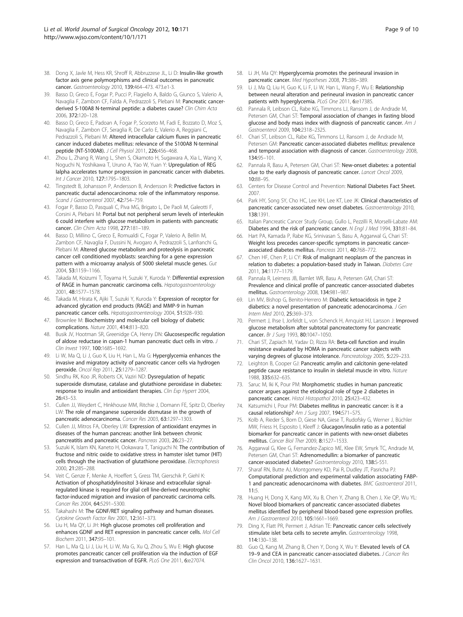- <span id="page-8-0"></span>38. Dong X, Javle M, Hess KR, Shroff R, Abbruzzese JL, Li D: Insulin-like growth factor axis gene polymorphisms and clinical outcomes in pancreatic cancer. Gastroenterology 2010, 139:464–473. 473.e1-3.
- 39. Basso D, Greco E, Fogar P, Pucci P, Flagiello A, Baldo G, Giunco S, Valerio A, Navaglia F, Zambon CF, Falda A, Pedrazzoli S, Plebani M: Pancreatic cancerderived S-100A8 N-terminal peptide: a diabetes cause? Clin Chim Acta 2006, 372:120–128.
- 40. Basso D, Greco E, Padoan A, Fogar P, Scorzeto M, Fadi E, Bozzato D, Moz S, Navaglia F, Zambon CF, Seraglia R, De Carlo E, Valerio A, Reggiani C, Pedrazzoli S, Plebani M: Altered intracellular calcium fluxes in pancreatic cancer induced diabetes mellitus: relevance of the S100A8 N-terminal peptide (NT-S100A8). J Cell Physiol 2011, 226:456–468.
- 41. Zhou L, Zhang R, Wang L, Shen S, Okamoto H, Sugawara A, Xia L, Wang X, Noguchi N, Yoshikawa T, Uruno A, Yao W, Yuan Y: Upregulation of REG Ialpha accelerates tumor progression in pancreatic cancer with diabetes. Int J Cancer 2010, 127:1795–1803.
- 42. Tingstedt B, Johansson P, Andersson B, Andersson R: Predictive factors in pancreatic ductal adenocarcinoma: role of the inflammatory response. Scand J Gastroenterol 2007, 42:754–759.
- 43. Fogar P, Basso D, Pasquali C, Piva MG, Brigato L, De Paoli M, Galeotti F, Corsini A, Plebani M: Portal but not peripheral serum levels of interleukin 6 could interfere with glucose metabolism in patients with pancreatic cancer. Clin Chim Acta 1998, 277:181–189.
- 44. Basso D, Millino C, Greco E, Romualdi C, Fogar P, Valerio A, Bellin M, Zambon CF, Navaglia F, Dussini N, Avogaro A, Pedrazzoli S, Lanfranchi G, Plebani M: Altered glucose metabolism and proteolysis in pancreatic cancer cell conditioned myoblasts: searching for a gene expression pattern with a microarray analysis of 5000 skeletal muscle genes. Gut 2004, 53:1159–1166.
- 45. Takada M, Koizumi T, Toyama H, Suzuki Y, Kuroda Y: Differential expression of RAGE in human pancreatic carcinoma cells. Hepatogastroenterology 2001, 48:1577–1578.
- 46. Takada M, Hirata K, Ajiki T, Suzuki Y, Kuroda Y: Expression of receptor for advanced glycation end products (RAGE) and MMP-9 in human pancreatic cancer cells. Hepatogastroenterology 2004, 51:928–930.
- 47. Brownlee M: Biochemistry and molecular cell biology of diabetic complications. Nature 2001, 414:813–820.
- 48. Busik JV, Hootman SR, Greenidge CA, Henry DN: Glucosespecific regulation of aldose reductase in capan-1 human pancreatic duct cells in vitro. J Clin Invest 1997, 100:1685–1692.
- 49. Li W, Ma Q, Li J, Guo K, Liu H, Han L, Ma G: Hyperglycemia enhances the invasive and migratory activity of pancreatic cancer cells via hydrogen peroxide. Oncol Rep 2011, 25:1279–1287.
- 50. Sindhu RK, Koo JR, Roberts CK, Vaziri ND: Dysregulation of hepatic superoxide dismutase, catalase and glutathione peroxidase in diabetes: response to insulin and antioxidant therapies. Clin Exp Hypert 2004, 26:43–53.
- 51. Cullen JJ, Weydert C, Hinkhouse MM, Ritchie J, Domann FE, Spitz D, Oberley LW: The role of manganese superoxide dismutase in the growth of pancreatic adenocarcinoma. Cancer Res 2003, 63:1297–1303.
- 52. Cullen JJ, Mitros FA, Oberley LW: Expression of antioxidant enzymes in diseases of the human pancreas: another link between chronic pancreatitis and pancreatic cancer. Pancreas 2003, 26:23–27.
- 53. Suzuki K, Islam KN, Kaneto H, Ookawara T, Taniguchi N: The contribution of fructose and nitric oxide to oxidative stress in hamster islet tumor (HIT) cells through the inactivation of glutathione peroxidase. Electrophoresis 2000, 21:285–288.
- 54. Veit C, Genze F, Menke A, Hoeffert S, Gress TM, Gierschik P, Giehl K: Activation of phosphatidylinositol 3-kinase and extracellular signalregulated kinase is required for glial cell line-derived neurotrophic factor-induced migration and invasion of pancreatic carcinoma cells. Cancer Res 2004, 64:5291–5300.
- 55. Takahashi M: The GDNF/RET signaling pathway and human diseases. Cytokine Growth Factor Rev 2001, 12:361–373.
- 56. Liu H, Ma QY, Li JH: High glucose promotes cell proliferation and enhances GDNF and RET expression in pancreatic cancer cells. Mol Cell Biochem 2011, 347:95–101.
- 57. Han L, Ma Q, Li J, Liu H, Li W, Ma G, Xu Q, Zhou S, Wu E: High glucose promotes pancreatic cancer cell proliferation via the induction of EGF expression and transactivation of EGFR. PLoS One 2011, 6:e27074.
- 58. Li JH, Ma QY: Hyperglycemia promotes the perineural invasion in pancreatic cancer. Med Hypotheses 2008, 71:386–389.
- 59. Li J, Ma Q, Liu H, Guo K, Li F, Li W, Han L, Wang F, Wu E: Relationship between neural alteration and perineural invasion in pancreatic cancer patients with hyperglycemia. PLoS One 2011, 6:e17385.
- 60. Pannala R, Leibson CL, Rabe KG, Timmons LJ, Ransom J, de Andrade M, Petersen GM, Chari ST: Temporal association of changes in fasting blood glucose and body mass index with diagnosis of pancreatic cancer. Am J Gastroenterol 2009, 104:2318–2325.
- 61. Chari ST, Leibson CL, Rabe KG, Timmons LJ, Ransom J, de Andrade M, Petersen GM: Pancreatic cancer-associated diabetes mellitus: prevalence and temporal association with diagnosis of cancer. Gastroenterology 2008, 134:95–101.
- 62. Pannala R, Basu A, Petersen GM, Chari ST: New-onset diabetes: a potential clue to the early diagnosis of pancreatic cancer. Lancet Oncol 2009, 10:88–95.
- 63. Centers for Disease Control and Prevention: National Diabetes Fact Sheet. 2007.
- 64. Park HY, Song SY, Cho HC, Lee KH, Lee KT, Lee JK: Clinical characteristics of pancreatic cancer-associated new onset diabetes. Gastroenterology 2010, 138:1391.
- Italian Pancreatic Cancer Study Group, Gullo L, Pezzilli R, Morselli-Labate AM: Diabetes and the risk of pancreatic cancer. N Engl J Med 1994, 331:81–84.
- 66. Hart PA, Kamada P, Rabe KG, Srinivasan S, Basu A, Aggarwal G, Chari ST: Weight loss precedes cancer-specific symptoms in pancreatic cancerassociated diabetes mellitus. Pancreas 2011, 40:768–772.
- 67. Chen HF, Chen P, Li CY: Risk of malignant neoplasm of the pancreas in relation to diabetes: a population-based study in Taiwan. Diabetes Care 2011, 34:1177–1179.
- 68. Pannala R, Leirness JB, Bamlet WR, Basu A, Petersen GM, Chari ST: Prevalence and clinical profile of pancreatic cancer-associated diabetes mellitus. Gastroenterology 2008, 134:981–987.
- 69. Lin MV, Bishop G, Benito-Herrero M: Diabetic ketoacidosis in type 2 diabetics: a novel presentation of pancreatic adenocarcinoma. J Gen Intern Med 2010, 25:369–373.
- 70. Permert J, Ihse I, Jorfeldt L, von Schenck H, Arnquist HJ, Larsson J: Improved glucose metabolism after subtotal pancreatectomy for pancreatic cancer. Br J Surg 1993, 80:1047-1050.
- 71. Chari ST, Zapiach M, Yadav D, Rizza RA: Beta-cell function and insulin resistance evaluated by HOMA in pancreatic cancer subjects with varying degrees of glucose intolerance. Pancreatology 2005, 5:229–233.
- 72. Leighton B, Cooper GJ: Pancreatic amylin and calcitonin gene-related peptide cause resistance to insulin in skeletal muscle in vitro. Nature 1988, 335:632–635.
- 73. Saruc M, Iki K, Pour PM: Morphometric studies in human pancreatic cancer argues against the etiological role of type 2 diabetes in pancreatic cancer. Histol Histopathol 2010, 25:423-432.
- 74. Katsumichi I, Pour PM: Diabetes mellitus in pancreatic cancer: is it a causal relationship? Am J Surg 2007, 194:S71–S75.
- 75. Kolb A, Rieder S, Born D, Giese NA, Giese T, Rudofsky G, Werner J, Büchler MW, Friess H, Esposito I, Kleeff J: Glucagon/insulin ratio as a potential biomarker for pancreatic cancer in patients with new-onset diabetes mellitus. Cancer Biol Ther 2009, 8:1527–1533.
- 76. Aggarwal G, Klee G, Fernandez-Zapico ME, Klee EW, Smyrk TC, Andrade M, Petersen GM, Chari ST: Adrenomedullin: a biomarker of pancreatic cancer-associated diabetes? Gastroenterology 2010, 138:S-551.
- 77. Sharaf RN, Butte AJ, Montgomery KD, Pai R, Dudley JT, Pasricha PJ: Computational prediction and experimental validation associating FABP-1 and pancreatic adenocarcinoma with diabetes. BMC Gastroenterol 2011, 11:5.
- 78. Huang H, Dong X, Kang MX, Xu B, Chen Y, Zhang B, Chen J, Xie QP, Wu YL: Novel blood biomarkers of pancreatic cancer-associated diabetes mellitus identified by peripheral blood-based gene expression profiles. Am J Gastroenterol 2010, 105:1661–1669.
- 79. Ding X, Flatt PR, Permert J, Adrian TE: Pancreatic cancer cells selectively stimulate islet beta cells to secrete amylin. Gastroenterology 1998, 114:130–138.
- 80. Guo Q, Kang M, Zhang B, Chen Y, Dong X, Wu Y: Elevated levels of CA 19–9 and CEA in pancreatic cancer-associated diabetes. *J Cancer Res* Clin Oncol 2010, 136:1627–1631.